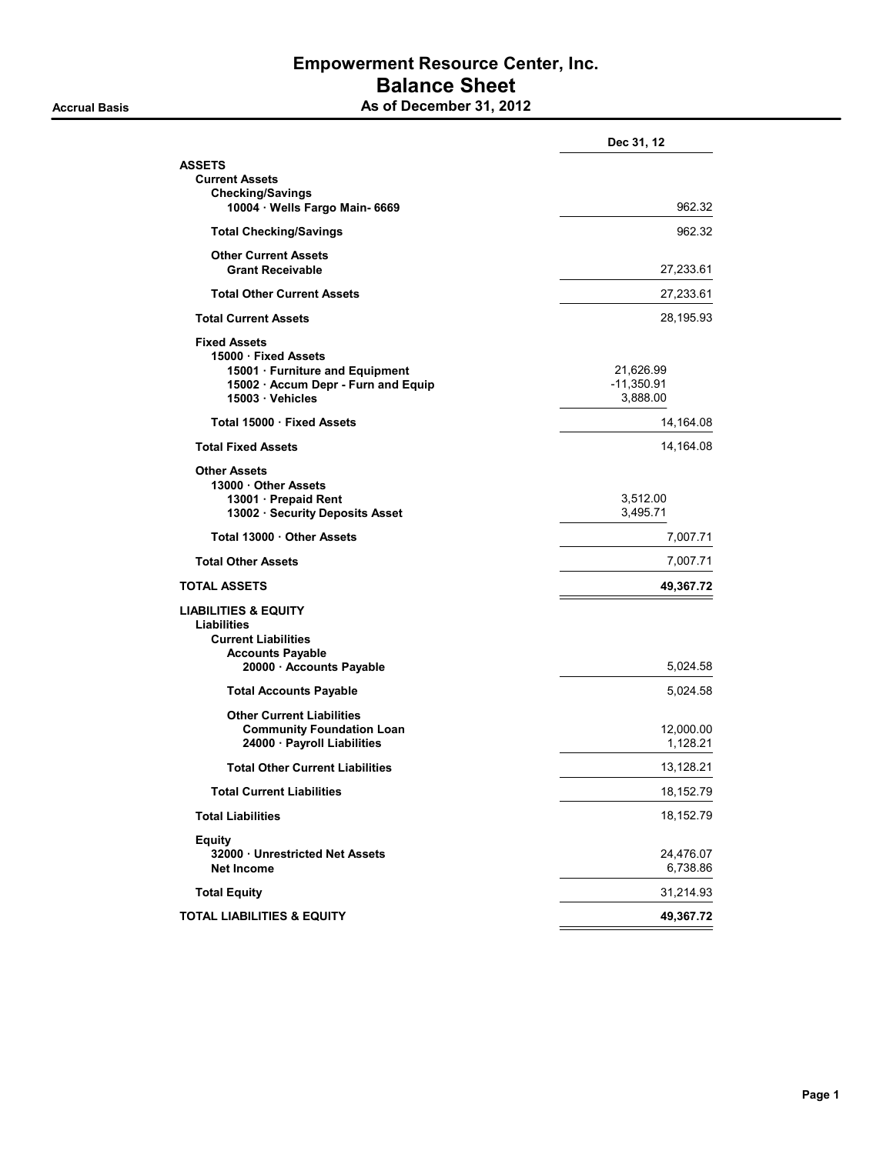## Empowerment Resource Center, Inc. Balance Sheet Accrual Basis **As of December 31, 2012**

|                                                                                                                                           | Dec 31, 12                            |
|-------------------------------------------------------------------------------------------------------------------------------------------|---------------------------------------|
| ASSETS                                                                                                                                    |                                       |
| <b>Current Assets</b><br><b>Checking/Savings</b><br>10004 · Wells Fargo Main- 6669                                                        | 962.32                                |
| <b>Total Checking/Savings</b>                                                                                                             | 962.32                                |
| <b>Other Current Assets</b><br><b>Grant Receivable</b>                                                                                    | 27,233.61                             |
| <b>Total Other Current Assets</b>                                                                                                         | 27,233.61                             |
| <b>Total Current Assets</b>                                                                                                               | 28,195.93                             |
| <b>Fixed Assets</b><br>15000 · Fixed Assets<br>15001 · Furniture and Equipment<br>15002 · Accum Depr - Furn and Equip<br>15003 · Vehicles | 21,626.99<br>$-11,350.91$<br>3,888.00 |
| Total 15000 · Fixed Assets                                                                                                                | 14,164.08                             |
| <b>Total Fixed Assets</b>                                                                                                                 | 14,164.08                             |
| <b>Other Assets</b><br>13000 · Other Assets<br>13001 · Prepaid Rent<br>13002 · Security Deposits Asset                                    | 3,512.00<br>3,495.71                  |
| Total 13000 Other Assets                                                                                                                  | 7,007.71                              |
| <b>Total Other Assets</b>                                                                                                                 | 7,007.71                              |
| TOTAL ASSETS                                                                                                                              | 49,367.72                             |
| LIABILITIES & EQUITY<br><b>Liabilities</b><br><b>Current Liabilities</b><br><b>Accounts Payable</b><br>20000 · Accounts Payable           | 5,024.58                              |
| <b>Total Accounts Payable</b>                                                                                                             | 5,024.58                              |
| <b>Other Current Liabilities</b><br><b>Community Foundation Loan</b><br>24000 · Payroll Liabilities                                       | 12,000.00<br>1,128.21                 |
| <b>Total Other Current Liabilities</b>                                                                                                    | 13,128.21                             |
| Total Current Liabilities                                                                                                                 | 18,152.79                             |
| <b>Total Liabilities</b>                                                                                                                  | 18,152.79                             |
| <b>Equity</b><br>32000 Unrestricted Net Assets<br><b>Net Income</b>                                                                       | 24,476.07<br>6,738.86                 |
| <b>Total Equity</b>                                                                                                                       | 31,214.93                             |
| TOTAL LIABILITIES & EQUITY                                                                                                                | 49,367.72                             |
|                                                                                                                                           |                                       |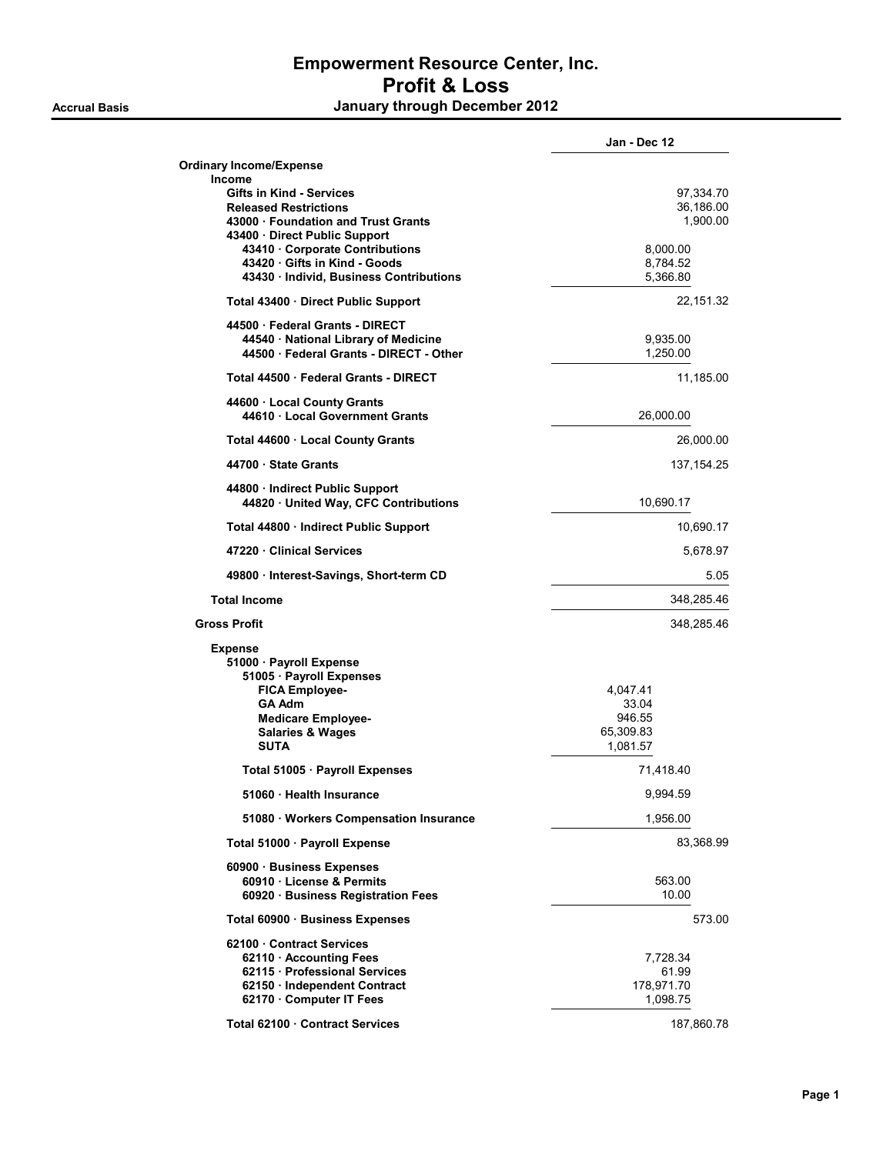|                                                                      | Jan - Dec 12         |
|----------------------------------------------------------------------|----------------------|
| <b>Ordinary Income/Expense</b><br>Income                             |                      |
| Gifts in Kind - Services                                             | 97,334.70            |
| <b>Released Restrictions</b>                                         | 36,186.00            |
| 43000 Foundation and Trust Grants                                    | 1,900.00             |
| 43400 · Direct Public Support                                        |                      |
| 43410 Corporate Contributions                                        | 8,000.00             |
| 43420 Gifts in Kind - Goods<br>43430 Individ, Business Contributions | 8,784.52<br>5,366.80 |
|                                                                      | 22,151.32            |
| Total 43400 · Direct Public Support<br>44500 Federal Grants - DIRECT |                      |
| 44540 · National Library of Medicine                                 | 9,935.00             |
| 44500 · Federal Grants - DIRECT - Other                              | 1,250.00             |
| Total 44500 · Federal Grants - DIRECT                                | 11,185.00            |
|                                                                      |                      |
| 44600 Local County Grants<br>44610 Local Government Grants           | 26,000.00            |
| Total 44600 · Local County Grants                                    | 26,000.00            |
| 44700 State Grants                                                   | 137,154.25           |
| 44800 · Indirect Public Support                                      |                      |
| 44820 United Way, CFC Contributions                                  | 10,690.17            |
| Total 44800 · Indirect Public Support                                | 10,690.17            |
| 47220 Clinical Services                                              | 5,678.97             |
| 49800 · Interest-Savings, Short-term CD                              | 5.05                 |
| <b>Total Income</b>                                                  | 348,285.46           |
| <b>Gross Profit</b>                                                  | 348,285.46           |
| <b>Expense</b>                                                       |                      |
| 51000 · Payroll Expense                                              |                      |
| 51005 · Payroll Expenses                                             |                      |
| <b>FICA Employee-</b>                                                | 4,047.41             |
| <b>GA Adm</b>                                                        | 33.04                |
| <b>Medicare Employee-</b>                                            | 946.55               |
| <b>Salaries &amp; Wages</b>                                          | 65,309.83            |
| <b>SUTA</b>                                                          | 1,081.57             |
| Total 51005 · Payroll Expenses                                       | 71,418.40            |
| 51060 · Health Insurance                                             | 9,994.59             |
| 51080 · Workers Compensation Insurance                               | 1,956.00             |
| Total 51000 · Payroll Expense                                        | 83,368.99            |
| 60900 · Business Expenses                                            |                      |
| 60910 · License & Permits                                            | 563.00               |
| 60920 · Business Registration Fees                                   | 10.00                |
| Total 60900 · Business Expenses                                      | 573.00               |
| 62100 Contract Services                                              |                      |
| 62110 · Accounting Fees                                              | 7,728.34             |
| 62115 · Professional Services                                        | 61.99                |
| 62150 · Independent Contract                                         | 178,971.70           |
| 62170 · Computer IT Fees                                             | 1,098.75             |
| Total 62100 Contract Services                                        | 187,860.78           |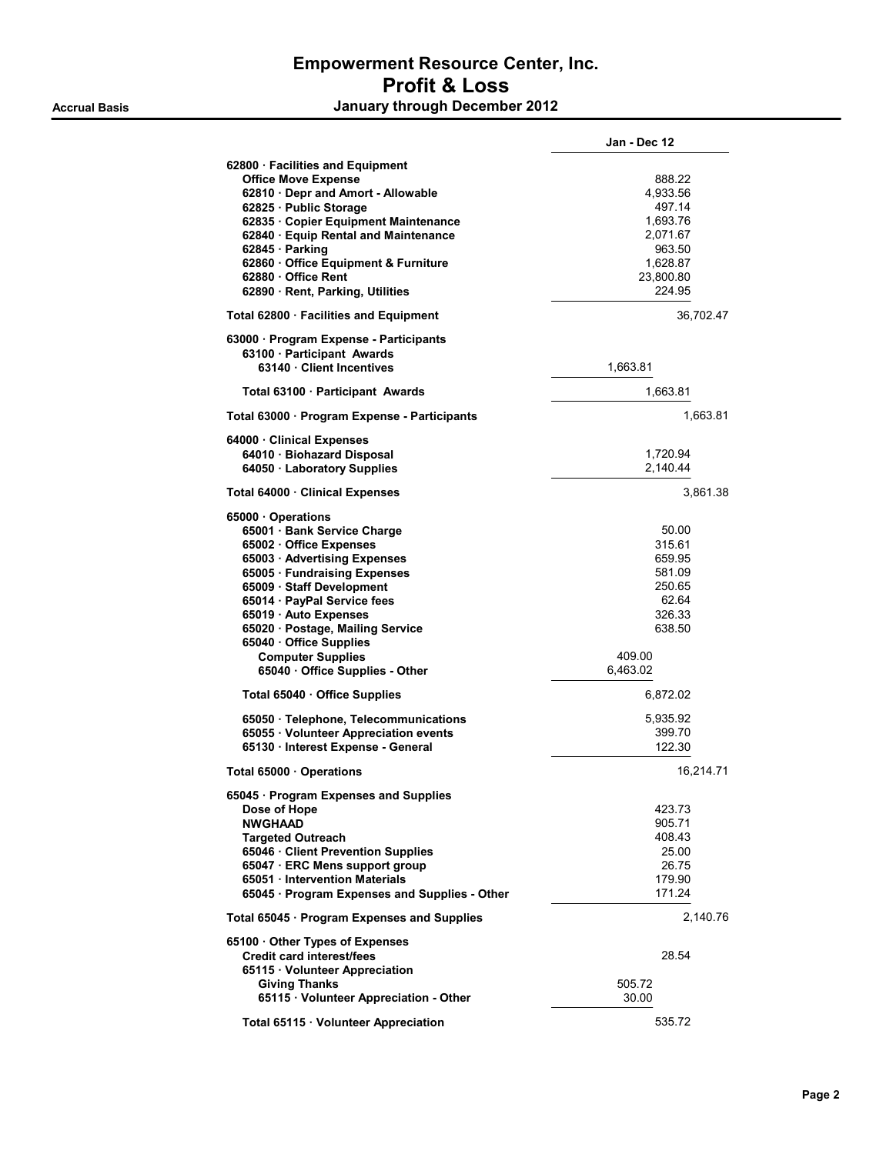|                                                                                                                                                                                                                                                                                                                                                               | Jan - Dec 12                                                                                      |
|---------------------------------------------------------------------------------------------------------------------------------------------------------------------------------------------------------------------------------------------------------------------------------------------------------------------------------------------------------------|---------------------------------------------------------------------------------------------------|
| 62800 · Facilities and Equipment<br><b>Office Move Expense</b><br>62810 Depr and Amort - Allowable<br>62825 · Public Storage<br>62835 · Copier Equipment Maintenance<br>62840 · Equip Rental and Maintenance<br>62845 · Parking<br>62860 · Office Equipment & Furniture<br>62880 · Office Rent<br>62890 · Rent, Parking, Utilities                            | 888.22<br>4,933.56<br>497.14<br>1,693.76<br>2,071.67<br>963.50<br>1,628.87<br>23,800.80<br>224.95 |
| Total 62800 · Facilities and Equipment                                                                                                                                                                                                                                                                                                                        | 36,702.47                                                                                         |
| 63000 · Program Expense - Participants<br>63100 · Participant Awards<br>63140 · Client Incentives                                                                                                                                                                                                                                                             | 1,663.81                                                                                          |
| Total 63100 · Participant Awards                                                                                                                                                                                                                                                                                                                              | 1,663.81                                                                                          |
| Total 63000 · Program Expense - Participants                                                                                                                                                                                                                                                                                                                  | 1,663.81                                                                                          |
| 64000 · Clinical Expenses<br>64010 · Biohazard Disposal<br>64050 · Laboratory Supplies                                                                                                                                                                                                                                                                        | 1,720.94<br>2,140.44                                                                              |
| Total 64000 · Clinical Expenses                                                                                                                                                                                                                                                                                                                               | 3,861.38                                                                                          |
| 65000 Operations<br>65001 · Bank Service Charge<br>65002 · Office Expenses<br>65003 · Advertising Expenses<br>65005 · Fundraising Expenses<br>65009 · Staff Development<br>65014 · PayPal Service fees<br>65019 · Auto Expenses<br>65020 · Postage, Mailing Service<br>65040 · Office Supplies<br><b>Computer Supplies</b><br>65040 · Office Supplies - Other | 50.00<br>315.61<br>659.95<br>581.09<br>250.65<br>62.64<br>326.33<br>638.50<br>409.00<br>6,463.02  |
| Total 65040 · Office Supplies                                                                                                                                                                                                                                                                                                                                 | 6,872.02                                                                                          |
| 65050 · Telephone, Telecommunications<br>65055 Volunteer Appreciation events<br>65130 · Interest Expense - General                                                                                                                                                                                                                                            | 5,935.92<br>399.70<br>122.30                                                                      |
| Total 65000 · Operations                                                                                                                                                                                                                                                                                                                                      | 16,214.71                                                                                         |
| 65045 · Program Expenses and Supplies<br>Dose of Hope<br><b>NWGHAAD</b><br><b>Targeted Outreach</b><br>65046 · Client Prevention Supplies<br>65047 · ERC Mens support group<br>65051 · Intervention Materials<br>65045 · Program Expenses and Supplies - Other                                                                                                | 423.73<br>905.71<br>408.43<br>25.00<br>26.75<br>179.90<br>171.24                                  |
| Total 65045 · Program Expenses and Supplies                                                                                                                                                                                                                                                                                                                   | 2,140.76                                                                                          |
| 65100 Other Types of Expenses<br><b>Credit card interest/fees</b><br>65115 Volunteer Appreciation<br><b>Giving Thanks</b><br>65115 · Volunteer Appreciation - Other                                                                                                                                                                                           | 28.54<br>505.72<br>30.00                                                                          |
| Total 65115 · Volunteer Appreciation                                                                                                                                                                                                                                                                                                                          | 535.72                                                                                            |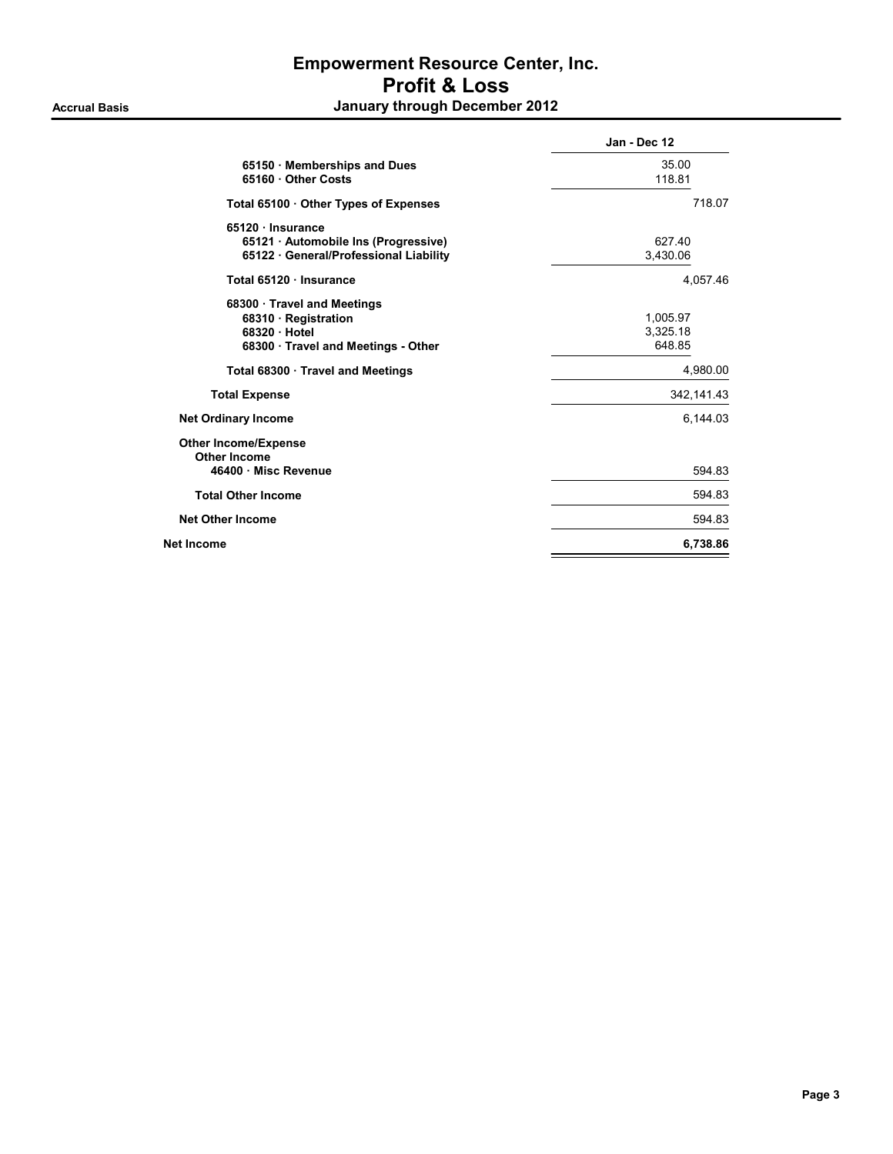| Jan - Dec 12                   |
|--------------------------------|
| 35.00<br>118.81                |
| 718.07                         |
| 627.40<br>3,430.06             |
| 4.057.46                       |
| 1,005.97<br>3,325.18<br>648.85 |
| 4,980.00                       |
| 342, 141.43                    |
| 6,144.03                       |
| 594.83                         |
| 594.83                         |
| 594.83                         |
| 6,738.86                       |
|                                |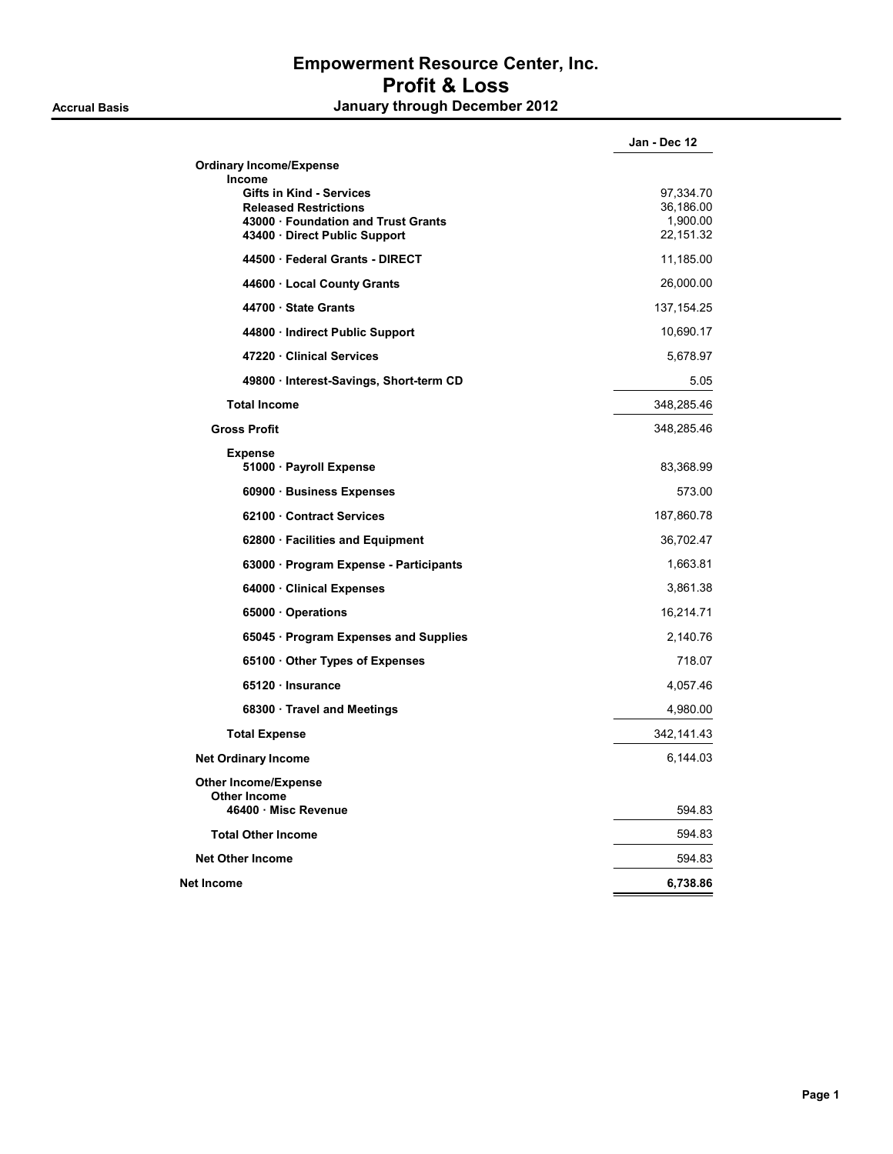|                                                                                                                                       | Jan - Dec 12                                    |
|---------------------------------------------------------------------------------------------------------------------------------------|-------------------------------------------------|
| <b>Ordinary Income/Expense</b><br>Income                                                                                              |                                                 |
| <b>Gifts in Kind - Services</b><br><b>Released Restrictions</b><br>43000 · Foundation and Trust Grants<br>43400 Direct Public Support | 97,334.70<br>36,186.00<br>1,900.00<br>22,151.32 |
| 44500 · Federal Grants - DIRECT                                                                                                       | 11,185.00                                       |
| 44600 · Local County Grants                                                                                                           | 26,000.00                                       |
| 44700 State Grants                                                                                                                    | 137, 154. 25                                    |
| 44800 · Indirect Public Support                                                                                                       | 10,690.17                                       |
| 47220 Clinical Services                                                                                                               | 5,678.97                                        |
| 49800 · Interest-Savings, Short-term CD                                                                                               | 5.05                                            |
| <b>Total Income</b>                                                                                                                   | 348,285.46                                      |
| <b>Gross Profit</b>                                                                                                                   | 348,285.46                                      |
| <b>Expense</b><br>51000 · Payroll Expense                                                                                             | 83,368.99                                       |
| 60900 · Business Expenses                                                                                                             | 573.00                                          |
| 62100 Contract Services                                                                                                               | 187,860.78                                      |
| 62800 · Facilities and Equipment                                                                                                      | 36,702.47                                       |
| 63000 · Program Expense - Participants                                                                                                | 1,663.81                                        |
| 64000 Clinical Expenses                                                                                                               | 3,861.38                                        |
| 65000 Operations                                                                                                                      | 16,214.71                                       |
| 65045 · Program Expenses and Supplies                                                                                                 | 2,140.76                                        |
| 65100 Other Types of Expenses                                                                                                         | 718.07                                          |
| 65120 Insurance                                                                                                                       | 4,057.46                                        |
| 68300 · Travel and Meetings                                                                                                           | 4,980.00                                        |
| <b>Total Expense</b>                                                                                                                  | 342, 141.43                                     |
| <b>Net Ordinary Income</b>                                                                                                            | 6,144.03                                        |
| <b>Other Income/Expense</b><br><b>Other Income</b><br>46400 Misc Revenue                                                              | 594.83                                          |
| <b>Total Other Income</b>                                                                                                             | 594.83                                          |
| <b>Net Other Income</b>                                                                                                               | 594.83                                          |
| Net Income                                                                                                                            | 6,738.86                                        |
|                                                                                                                                       |                                                 |